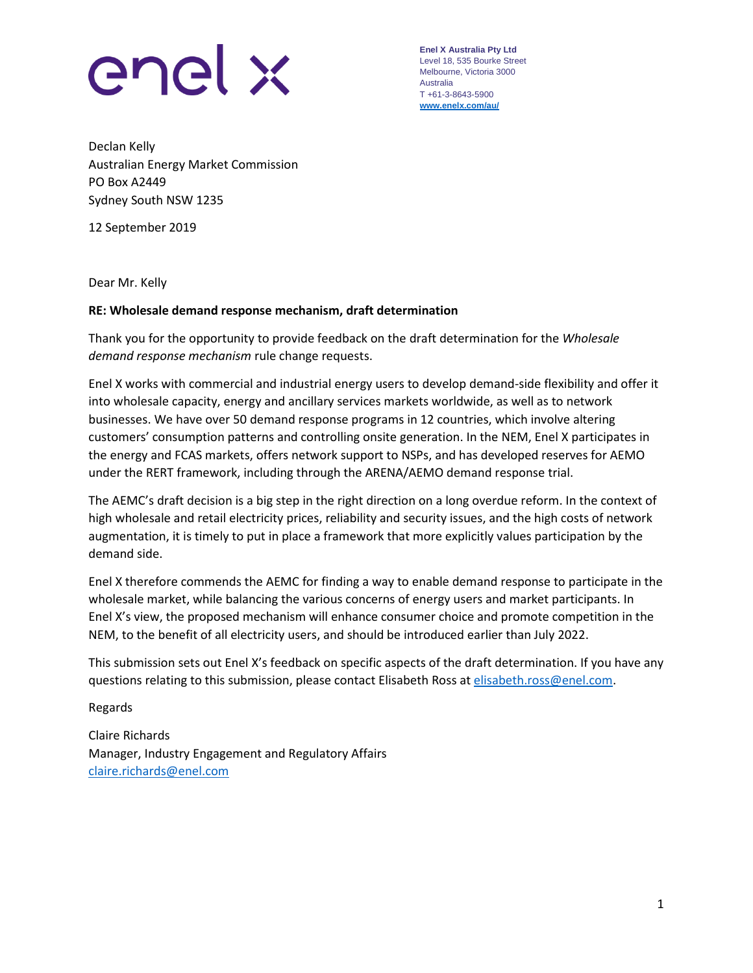

**Enel X Australia Pty Ltd** Level 18, 535 Bourke Street Melbourne, Victoria 3000 Australia T +61-3-8643-5900 **[www.enelx.com/a](http://www.enelx.com/)u/**

Declan Kelly Australian Energy Market Commission PO Box A2449 Sydney South NSW 1235

12 September 2019

Dear Mr. Kelly

### **RE: Wholesale demand response mechanism, draft determination**

Thank you for the opportunity to provide feedback on the draft determination for the *Wholesale demand response mechanism* rule change requests.

Enel X works with commercial and industrial energy users to develop demand-side flexibility and offer it into wholesale capacity, energy and ancillary services markets worldwide, as well as to network businesses. We have over 50 demand response programs in 12 countries, which involve altering customers' consumption patterns and controlling onsite generation. In the NEM, Enel X participates in the energy and FCAS markets, offers network support to NSPs, and has developed reserves for AEMO under the RERT framework, including through the ARENA/AEMO demand response trial.

The AEMC's draft decision is a big step in the right direction on a long overdue reform. In the context of high wholesale and retail electricity prices, reliability and security issues, and the high costs of network augmentation, it is timely to put in place a framework that more explicitly values participation by the demand side.

Enel X therefore commends the AEMC for finding a way to enable demand response to participate in the wholesale market, while balancing the various concerns of energy users and market participants. In Enel X's view, the proposed mechanism will enhance consumer choice and promote competition in the NEM, to the benefit of all electricity users, and should be introduced earlier than July 2022.

This submission sets out Enel X's feedback on specific aspects of the draft determination. If you have any questions relating to this submission, please contact Elisabeth Ross at [elisabeth.ross@enel.com.](mailto:elisabeth.ross@enel.com)

Regards

Claire Richards Manager, Industry Engagement and Regulatory Affairs [claire.richards@enel.com](mailto:claire.richards@enel.com)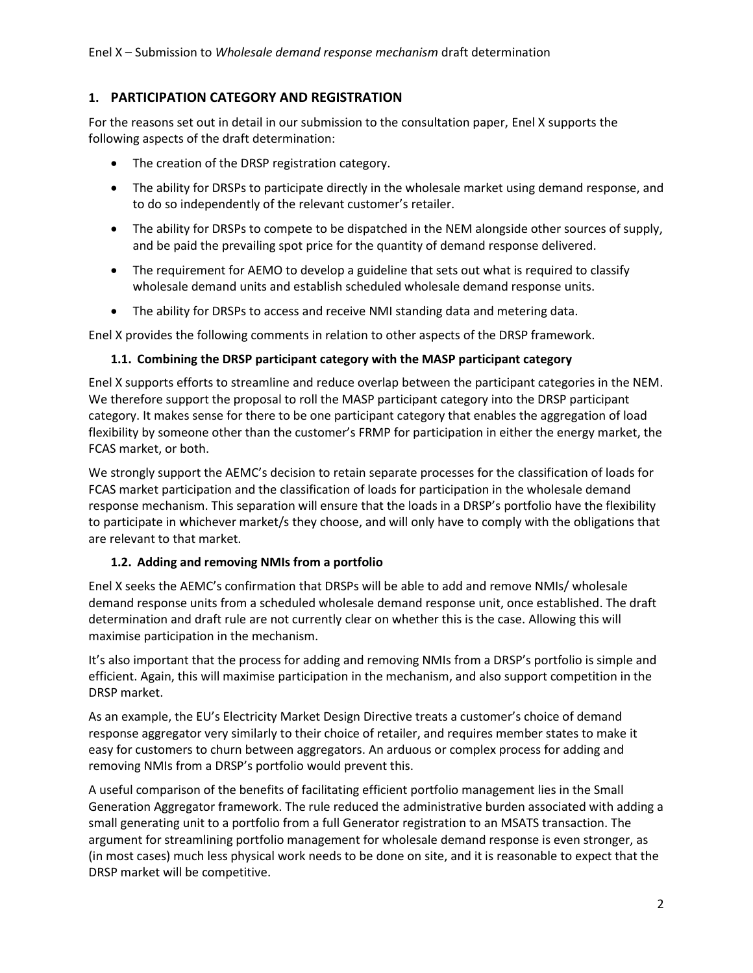# **1. PARTICIPATION CATEGORY AND REGISTRATION**

For the reasons set out in detail in our submission to the consultation paper, Enel X supports the following aspects of the draft determination:

- The creation of the DRSP registration category.
- The ability for DRSPs to participate directly in the wholesale market using demand response, and to do so independently of the relevant customer's retailer.
- The ability for DRSPs to compete to be dispatched in the NEM alongside other sources of supply, and be paid the prevailing spot price for the quantity of demand response delivered.
- The requirement for AEMO to develop a guideline that sets out what is required to classify wholesale demand units and establish scheduled wholesale demand response units.
- The ability for DRSPs to access and receive NMI standing data and metering data.

Enel X provides the following comments in relation to other aspects of the DRSP framework.

## **1.1. Combining the DRSP participant category with the MASP participant category**

Enel X supports efforts to streamline and reduce overlap between the participant categories in the NEM. We therefore support the proposal to roll the MASP participant category into the DRSP participant category. It makes sense for there to be one participant category that enables the aggregation of load flexibility by someone other than the customer's FRMP for participation in either the energy market, the FCAS market, or both.

We strongly support the AEMC's decision to retain separate processes for the classification of loads for FCAS market participation and the classification of loads for participation in the wholesale demand response mechanism. This separation will ensure that the loads in a DRSP's portfolio have the flexibility to participate in whichever market/s they choose, and will only have to comply with the obligations that are relevant to that market.

### **1.2. Adding and removing NMIs from a portfolio**

Enel X seeks the AEMC's confirmation that DRSPs will be able to add and remove NMIs/ wholesale demand response units from a scheduled wholesale demand response unit, once established. The draft determination and draft rule are not currently clear on whether this is the case. Allowing this will maximise participation in the mechanism.

It's also important that the process for adding and removing NMIs from a DRSP's portfolio is simple and efficient. Again, this will maximise participation in the mechanism, and also support competition in the DRSP market.

As an example, the EU's Electricity Market Design Directive treats a customer's choice of demand response aggregator very similarly to their choice of retailer, and requires member states to make it easy for customers to churn between aggregators. An arduous or complex process for adding and removing NMIs from a DRSP's portfolio would prevent this.

A useful comparison of the benefits of facilitating efficient portfolio management lies in the Small Generation Aggregator framework. The rule reduced the administrative burden associated with adding a small generating unit to a portfolio from a full Generator registration to an MSATS transaction. The argument for streamlining portfolio management for wholesale demand response is even stronger, as (in most cases) much less physical work needs to be done on site, and it is reasonable to expect that the DRSP market will be competitive.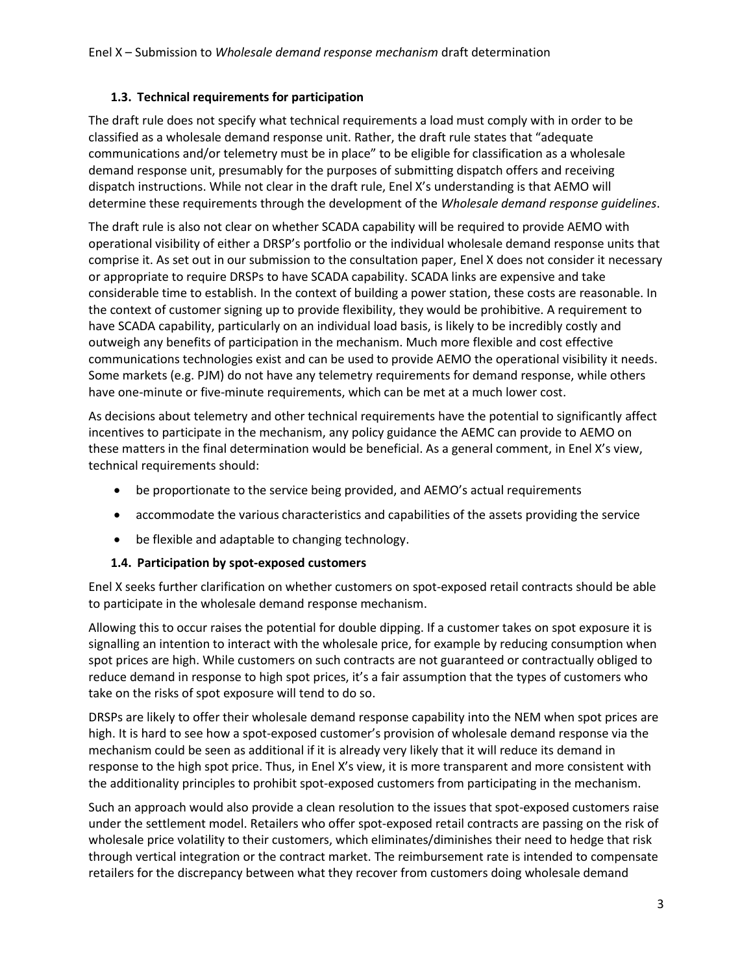## **1.3. Technical requirements for participation**

The draft rule does not specify what technical requirements a load must comply with in order to be classified as a wholesale demand response unit. Rather, the draft rule states that "adequate communications and/or telemetry must be in place" to be eligible for classification as a wholesale demand response unit, presumably for the purposes of submitting dispatch offers and receiving dispatch instructions. While not clear in the draft rule, Enel X's understanding is that AEMO will determine these requirements through the development of the *Wholesale demand response guidelines*.

The draft rule is also not clear on whether SCADA capability will be required to provide AEMO with operational visibility of either a DRSP's portfolio or the individual wholesale demand response units that comprise it. As set out in our submission to the consultation paper, Enel X does not consider it necessary or appropriate to require DRSPs to have SCADA capability. SCADA links are expensive and take considerable time to establish. In the context of building a power station, these costs are reasonable. In the context of customer signing up to provide flexibility, they would be prohibitive. A requirement to have SCADA capability, particularly on an individual load basis, is likely to be incredibly costly and outweigh any benefits of participation in the mechanism. Much more flexible and cost effective communications technologies exist and can be used to provide AEMO the operational visibility it needs. Some markets (e.g. PJM) do not have any telemetry requirements for demand response, while others have one-minute or five-minute requirements, which can be met at a much lower cost.

As decisions about telemetry and other technical requirements have the potential to significantly affect incentives to participate in the mechanism, any policy guidance the AEMC can provide to AEMO on these matters in the final determination would be beneficial. As a general comment, in Enel X's view, technical requirements should:

- be proportionate to the service being provided, and AEMO's actual requirements
- accommodate the various characteristics and capabilities of the assets providing the service
- be flexible and adaptable to changing technology.

### **1.4. Participation by spot-exposed customers**

Enel X seeks further clarification on whether customers on spot-exposed retail contracts should be able to participate in the wholesale demand response mechanism.

Allowing this to occur raises the potential for double dipping. If a customer takes on spot exposure it is signalling an intention to interact with the wholesale price, for example by reducing consumption when spot prices are high. While customers on such contracts are not guaranteed or contractually obliged to reduce demand in response to high spot prices, it's a fair assumption that the types of customers who take on the risks of spot exposure will tend to do so.

DRSPs are likely to offer their wholesale demand response capability into the NEM when spot prices are high. It is hard to see how a spot-exposed customer's provision of wholesale demand response via the mechanism could be seen as additional if it is already very likely that it will reduce its demand in response to the high spot price. Thus, in Enel X's view, it is more transparent and more consistent with the additionality principles to prohibit spot-exposed customers from participating in the mechanism.

Such an approach would also provide a clean resolution to the issues that spot-exposed customers raise under the settlement model. Retailers who offer spot-exposed retail contracts are passing on the risk of wholesale price volatility to their customers, which eliminates/diminishes their need to hedge that risk through vertical integration or the contract market. The reimbursement rate is intended to compensate retailers for the discrepancy between what they recover from customers doing wholesale demand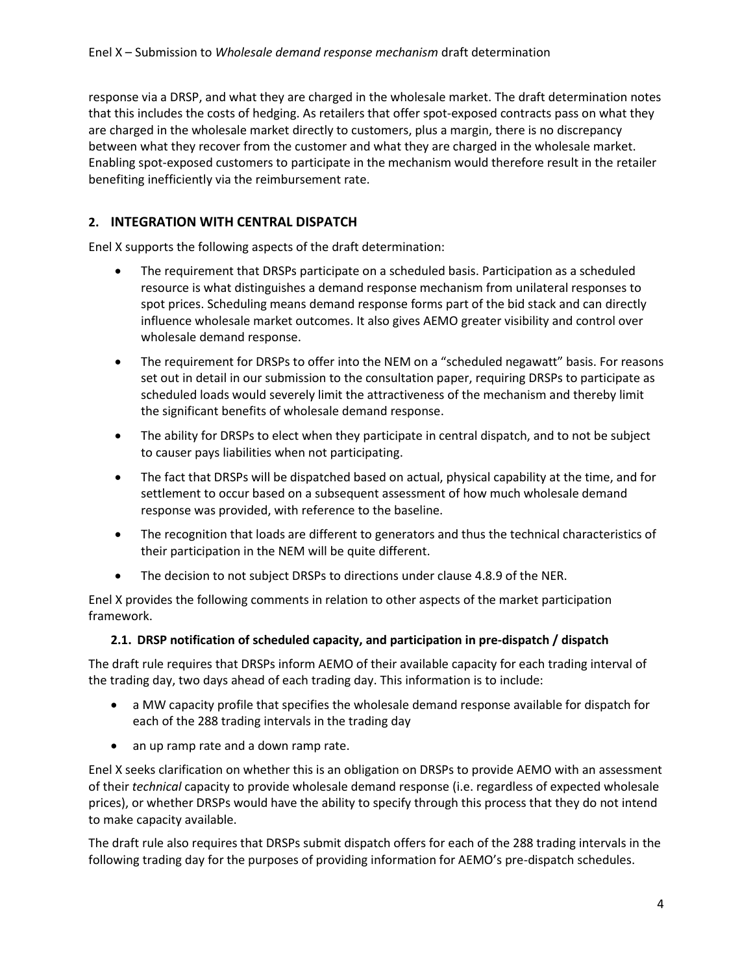response via a DRSP, and what they are charged in the wholesale market. The draft determination notes that this includes the costs of hedging. As retailers that offer spot-exposed contracts pass on what they are charged in the wholesale market directly to customers, plus a margin, there is no discrepancy between what they recover from the customer and what they are charged in the wholesale market. Enabling spot-exposed customers to participate in the mechanism would therefore result in the retailer benefiting inefficiently via the reimbursement rate.

# **2. INTEGRATION WITH CENTRAL DISPATCH**

Enel X supports the following aspects of the draft determination:

- The requirement that DRSPs participate on a scheduled basis. Participation as a scheduled resource is what distinguishes a demand response mechanism from unilateral responses to spot prices. Scheduling means demand response forms part of the bid stack and can directly influence wholesale market outcomes. It also gives AEMO greater visibility and control over wholesale demand response.
- The requirement for DRSPs to offer into the NEM on a "scheduled negawatt" basis. For reasons set out in detail in our submission to the consultation paper, requiring DRSPs to participate as scheduled loads would severely limit the attractiveness of the mechanism and thereby limit the significant benefits of wholesale demand response.
- The ability for DRSPs to elect when they participate in central dispatch, and to not be subject to causer pays liabilities when not participating.
- The fact that DRSPs will be dispatched based on actual, physical capability at the time, and for settlement to occur based on a subsequent assessment of how much wholesale demand response was provided, with reference to the baseline.
- The recognition that loads are different to generators and thus the technical characteristics of their participation in the NEM will be quite different.
- The decision to not subject DRSPs to directions under clause 4.8.9 of the NER.

Enel X provides the following comments in relation to other aspects of the market participation framework.

### **2.1. DRSP notification of scheduled capacity, and participation in pre-dispatch / dispatch**

The draft rule requires that DRSPs inform AEMO of their available capacity for each trading interval of the trading day, two days ahead of each trading day. This information is to include:

- a MW capacity profile that specifies the wholesale demand response available for dispatch for each of the 288 trading intervals in the trading day
- an up ramp rate and a down ramp rate.

Enel X seeks clarification on whether this is an obligation on DRSPs to provide AEMO with an assessment of their *technical* capacity to provide wholesale demand response (i.e. regardless of expected wholesale prices), or whether DRSPs would have the ability to specify through this process that they do not intend to make capacity available.

The draft rule also requires that DRSPs submit dispatch offers for each of the 288 trading intervals in the following trading day for the purposes of providing information for AEMO's pre-dispatch schedules.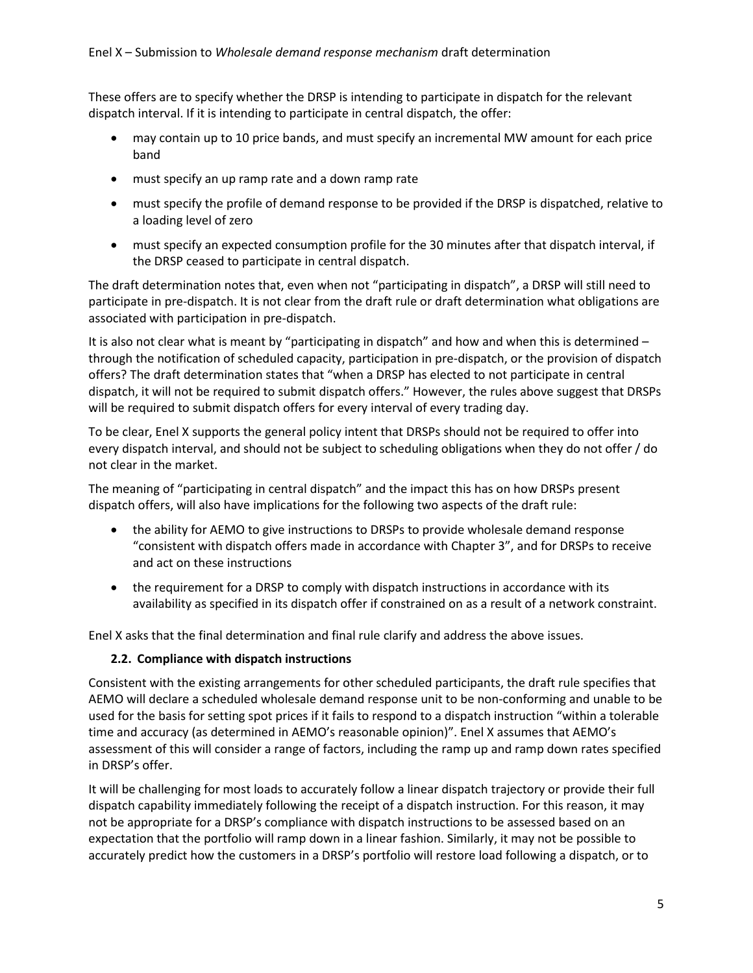These offers are to specify whether the DRSP is intending to participate in dispatch for the relevant dispatch interval. If it is intending to participate in central dispatch, the offer:

- may contain up to 10 price bands, and must specify an incremental MW amount for each price band
- must specify an up ramp rate and a down ramp rate
- must specify the profile of demand response to be provided if the DRSP is dispatched, relative to a loading level of zero
- must specify an expected consumption profile for the 30 minutes after that dispatch interval, if the DRSP ceased to participate in central dispatch.

The draft determination notes that, even when not "participating in dispatch", a DRSP will still need to participate in pre-dispatch. It is not clear from the draft rule or draft determination what obligations are associated with participation in pre-dispatch.

It is also not clear what is meant by "participating in dispatch" and how and when this is determined – through the notification of scheduled capacity, participation in pre-dispatch, or the provision of dispatch offers? The draft determination states that "when a DRSP has elected to not participate in central dispatch, it will not be required to submit dispatch offers." However, the rules above suggest that DRSPs will be required to submit dispatch offers for every interval of every trading day.

To be clear, Enel X supports the general policy intent that DRSPs should not be required to offer into every dispatch interval, and should not be subject to scheduling obligations when they do not offer / do not clear in the market.

The meaning of "participating in central dispatch" and the impact this has on how DRSPs present dispatch offers, will also have implications for the following two aspects of the draft rule:

- the ability for AEMO to give instructions to DRSPs to provide wholesale demand response "consistent with dispatch offers made in accordance with Chapter 3", and for DRSPs to receive and act on these instructions
- the requirement for a DRSP to comply with dispatch instructions in accordance with its availability as specified in its dispatch offer if constrained on as a result of a network constraint.

Enel X asks that the final determination and final rule clarify and address the above issues.

### **2.2. Compliance with dispatch instructions**

Consistent with the existing arrangements for other scheduled participants, the draft rule specifies that AEMO will declare a scheduled wholesale demand response unit to be non-conforming and unable to be used for the basis for setting spot prices if it fails to respond to a dispatch instruction "within a tolerable time and accuracy (as determined in AEMO's reasonable opinion)". Enel X assumes that AEMO's assessment of this will consider a range of factors, including the ramp up and ramp down rates specified in DRSP's offer.

It will be challenging for most loads to accurately follow a linear dispatch trajectory or provide their full dispatch capability immediately following the receipt of a dispatch instruction. For this reason, it may not be appropriate for a DRSP's compliance with dispatch instructions to be assessed based on an expectation that the portfolio will ramp down in a linear fashion. Similarly, it may not be possible to accurately predict how the customers in a DRSP's portfolio will restore load following a dispatch, or to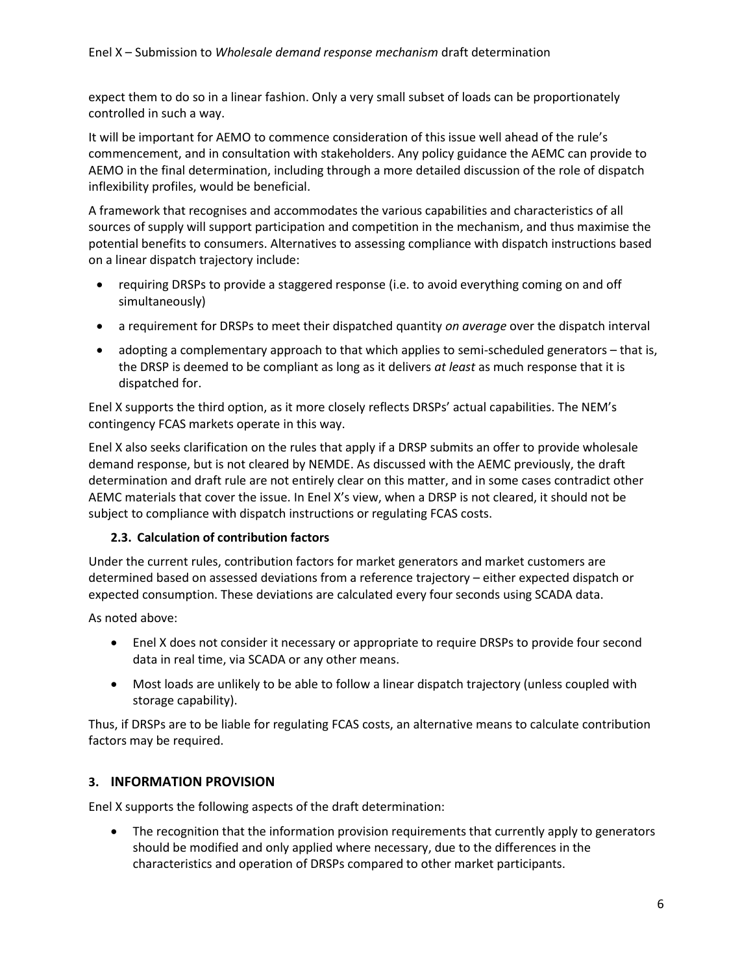expect them to do so in a linear fashion. Only a very small subset of loads can be proportionately controlled in such a way.

It will be important for AEMO to commence consideration of this issue well ahead of the rule's commencement, and in consultation with stakeholders. Any policy guidance the AEMC can provide to AEMO in the final determination, including through a more detailed discussion of the role of dispatch inflexibility profiles, would be beneficial.

A framework that recognises and accommodates the various capabilities and characteristics of all sources of supply will support participation and competition in the mechanism, and thus maximise the potential benefits to consumers. Alternatives to assessing compliance with dispatch instructions based on a linear dispatch trajectory include:

- requiring DRSPs to provide a staggered response (i.e. to avoid everything coming on and off simultaneously)
- a requirement for DRSPs to meet their dispatched quantity *on average* over the dispatch interval
- adopting a complementary approach to that which applies to semi-scheduled generators that is, the DRSP is deemed to be compliant as long as it delivers *at least* as much response that it is dispatched for.

Enel X supports the third option, as it more closely reflects DRSPs' actual capabilities. The NEM's contingency FCAS markets operate in this way.

Enel X also seeks clarification on the rules that apply if a DRSP submits an offer to provide wholesale demand response, but is not cleared by NEMDE. As discussed with the AEMC previously, the draft determination and draft rule are not entirely clear on this matter, and in some cases contradict other AEMC materials that cover the issue. In Enel X's view, when a DRSP is not cleared, it should not be subject to compliance with dispatch instructions or regulating FCAS costs.

# **2.3. Calculation of contribution factors**

Under the current rules, contribution factors for market generators and market customers are determined based on assessed deviations from a reference trajectory – either expected dispatch or expected consumption. These deviations are calculated every four seconds using SCADA data.

As noted above:

- Enel X does not consider it necessary or appropriate to require DRSPs to provide four second data in real time, via SCADA or any other means.
- Most loads are unlikely to be able to follow a linear dispatch trajectory (unless coupled with storage capability).

Thus, if DRSPs are to be liable for regulating FCAS costs, an alternative means to calculate contribution factors may be required.

# **3. INFORMATION PROVISION**

Enel X supports the following aspects of the draft determination:

• The recognition that the information provision requirements that currently apply to generators should be modified and only applied where necessary, due to the differences in the characteristics and operation of DRSPs compared to other market participants.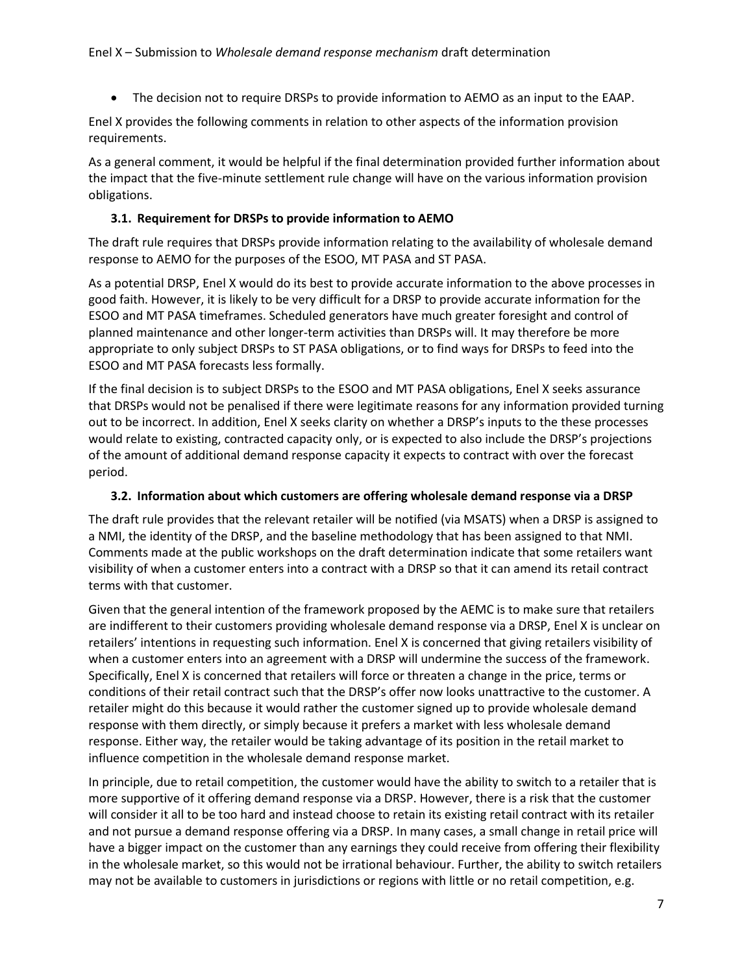The decision not to require DRSPs to provide information to AEMO as an input to the EAAP.

Enel X provides the following comments in relation to other aspects of the information provision requirements.

As a general comment, it would be helpful if the final determination provided further information about the impact that the five-minute settlement rule change will have on the various information provision obligations.

## **3.1. Requirement for DRSPs to provide information to AEMO**

The draft rule requires that DRSPs provide information relating to the availability of wholesale demand response to AEMO for the purposes of the ESOO, MT PASA and ST PASA.

As a potential DRSP, Enel X would do its best to provide accurate information to the above processes in good faith. However, it is likely to be very difficult for a DRSP to provide accurate information for the ESOO and MT PASA timeframes. Scheduled generators have much greater foresight and control of planned maintenance and other longer-term activities than DRSPs will. It may therefore be more appropriate to only subject DRSPs to ST PASA obligations, or to find ways for DRSPs to feed into the ESOO and MT PASA forecasts less formally.

If the final decision is to subject DRSPs to the ESOO and MT PASA obligations, Enel X seeks assurance that DRSPs would not be penalised if there were legitimate reasons for any information provided turning out to be incorrect. In addition, Enel X seeks clarity on whether a DRSP's inputs to the these processes would relate to existing, contracted capacity only, or is expected to also include the DRSP's projections of the amount of additional demand response capacity it expects to contract with over the forecast period.

### **3.2. Information about which customers are offering wholesale demand response via a DRSP**

The draft rule provides that the relevant retailer will be notified (via MSATS) when a DRSP is assigned to a NMI, the identity of the DRSP, and the baseline methodology that has been assigned to that NMI. Comments made at the public workshops on the draft determination indicate that some retailers want visibility of when a customer enters into a contract with a DRSP so that it can amend its retail contract terms with that customer.

Given that the general intention of the framework proposed by the AEMC is to make sure that retailers are indifferent to their customers providing wholesale demand response via a DRSP, Enel X is unclear on retailers' intentions in requesting such information. Enel X is concerned that giving retailers visibility of when a customer enters into an agreement with a DRSP will undermine the success of the framework. Specifically, Enel X is concerned that retailers will force or threaten a change in the price, terms or conditions of their retail contract such that the DRSP's offer now looks unattractive to the customer. A retailer might do this because it would rather the customer signed up to provide wholesale demand response with them directly, or simply because it prefers a market with less wholesale demand response. Either way, the retailer would be taking advantage of its position in the retail market to influence competition in the wholesale demand response market.

In principle, due to retail competition, the customer would have the ability to switch to a retailer that is more supportive of it offering demand response via a DRSP. However, there is a risk that the customer will consider it all to be too hard and instead choose to retain its existing retail contract with its retailer and not pursue a demand response offering via a DRSP. In many cases, a small change in retail price will have a bigger impact on the customer than any earnings they could receive from offering their flexibility in the wholesale market, so this would not be irrational behaviour. Further, the ability to switch retailers may not be available to customers in jurisdictions or regions with little or no retail competition, e.g.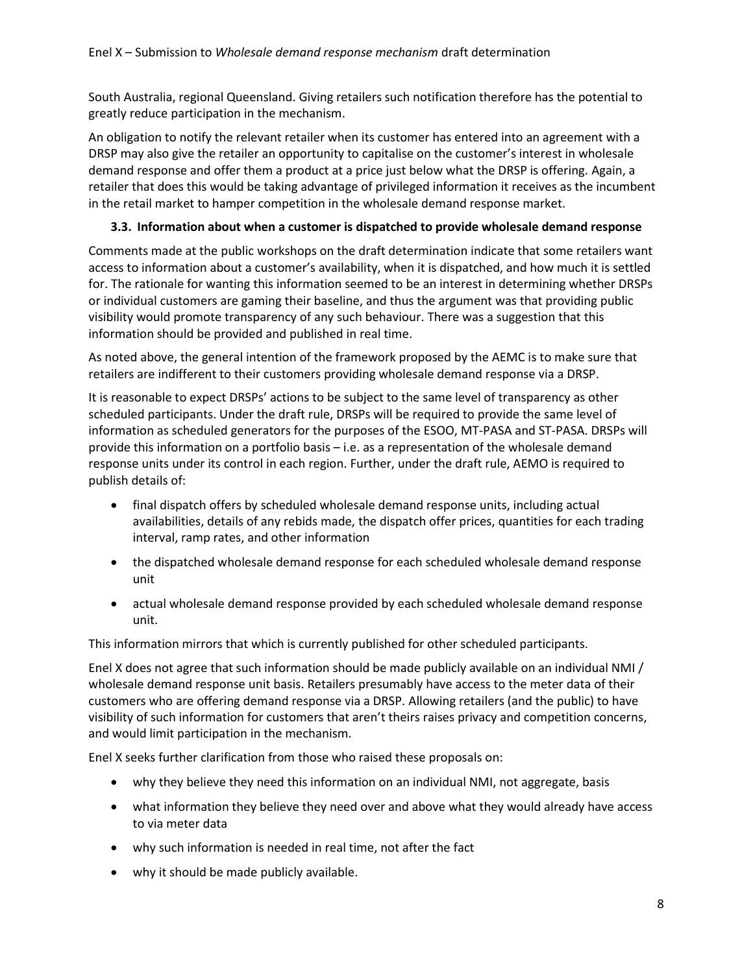South Australia, regional Queensland. Giving retailers such notification therefore has the potential to greatly reduce participation in the mechanism.

An obligation to notify the relevant retailer when its customer has entered into an agreement with a DRSP may also give the retailer an opportunity to capitalise on the customer's interest in wholesale demand response and offer them a product at a price just below what the DRSP is offering. Again, a retailer that does this would be taking advantage of privileged information it receives as the incumbent in the retail market to hamper competition in the wholesale demand response market.

## **3.3. Information about when a customer is dispatched to provide wholesale demand response**

Comments made at the public workshops on the draft determination indicate that some retailers want access to information about a customer's availability, when it is dispatched, and how much it is settled for. The rationale for wanting this information seemed to be an interest in determining whether DRSPs or individual customers are gaming their baseline, and thus the argument was that providing public visibility would promote transparency of any such behaviour. There was a suggestion that this information should be provided and published in real time.

As noted above, the general intention of the framework proposed by the AEMC is to make sure that retailers are indifferent to their customers providing wholesale demand response via a DRSP.

It is reasonable to expect DRSPs' actions to be subject to the same level of transparency as other scheduled participants. Under the draft rule, DRSPs will be required to provide the same level of information as scheduled generators for the purposes of the ESOO, MT-PASA and ST-PASA. DRSPs will provide this information on a portfolio basis – i.e. as a representation of the wholesale demand response units under its control in each region. Further, under the draft rule, AEMO is required to publish details of:

- final dispatch offers by scheduled wholesale demand response units, including actual availabilities, details of any rebids made, the dispatch offer prices, quantities for each trading interval, ramp rates, and other information
- the dispatched wholesale demand response for each scheduled wholesale demand response unit
- actual wholesale demand response provided by each scheduled wholesale demand response unit.

This information mirrors that which is currently published for other scheduled participants.

Enel X does not agree that such information should be made publicly available on an individual NMI / wholesale demand response unit basis. Retailers presumably have access to the meter data of their customers who are offering demand response via a DRSP. Allowing retailers (and the public) to have visibility of such information for customers that aren't theirs raises privacy and competition concerns, and would limit participation in the mechanism.

Enel X seeks further clarification from those who raised these proposals on:

- why they believe they need this information on an individual NMI, not aggregate, basis
- what information they believe they need over and above what they would already have access to via meter data
- why such information is needed in real time, not after the fact
- why it should be made publicly available.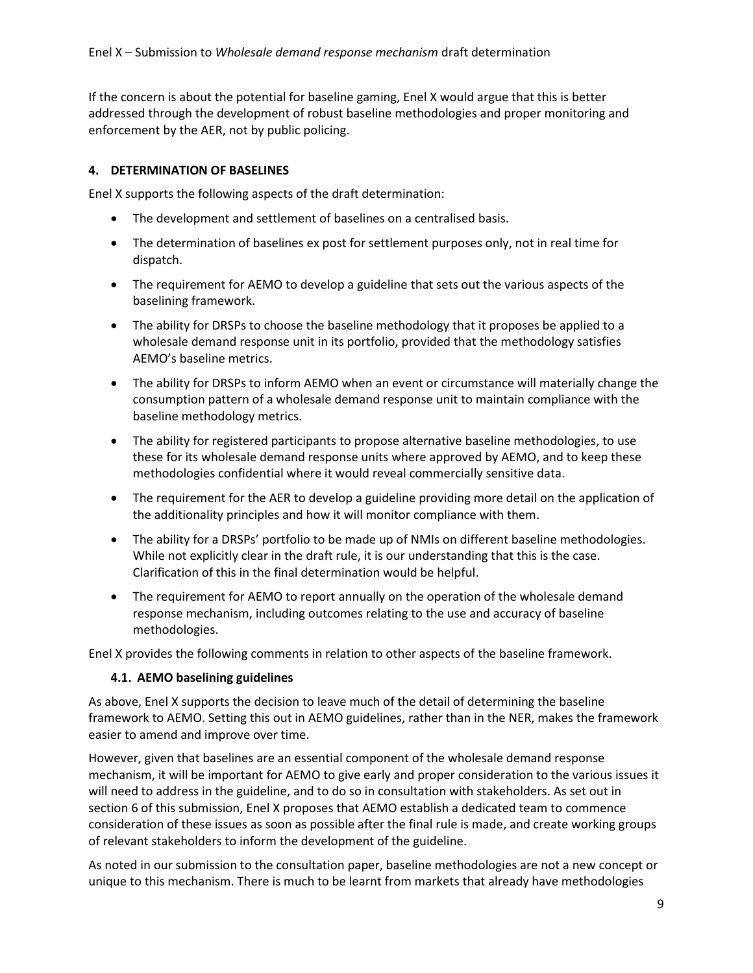If the concern is about the potential for baseline gaming, Enel X would argue that this is better addressed through the development of robust baseline methodologies and proper monitoring and enforcement by the AER, not by public policing.

## **4. DETERMINATION OF BASELINES**

Enel X supports the following aspects of the draft determination:

- The development and settlement of baselines on a centralised basis.
- The determination of baselines ex post for settlement purposes only, not in real time for dispatch.
- The requirement for AEMO to develop a guideline that sets out the various aspects of the baselining framework.
- The ability for DRSPs to choose the baseline methodology that it proposes be applied to a wholesale demand response unit in its portfolio, provided that the methodology satisfies AEMO's baseline metrics.
- The ability for DRSPs to inform AEMO when an event or circumstance will materially change the consumption pattern of a wholesale demand response unit to maintain compliance with the baseline methodology metrics.
- The ability for registered participants to propose alternative baseline methodologies, to use these for its wholesale demand response units where approved by AEMO, and to keep these methodologies confidential where it would reveal commercially sensitive data.
- The requirement for the AER to develop a guideline providing more detail on the application of the additionality principles and how it will monitor compliance with them.
- The ability for a DRSPs' portfolio to be made up of NMIs on different baseline methodologies. While not explicitly clear in the draft rule, it is our understanding that this is the case. Clarification of this in the final determination would be helpful.
- The requirement for AEMO to report annually on the operation of the wholesale demand response mechanism, including outcomes relating to the use and accuracy of baseline methodologies.

Enel X provides the following comments in relation to other aspects of the baseline framework.

### **4.1. AEMO baselining guidelines**

As above, Enel X supports the decision to leave much of the detail of determining the baseline framework to AEMO. Setting this out in AEMO guidelines, rather than in the NER, makes the framework easier to amend and improve over time.

However, given that baselines are an essential component of the wholesale demand response mechanism, it will be important for AEMO to give early and proper consideration to the various issues it will need to address in the guideline, and to do so in consultation with stakeholders. As set out in section 6 of this submission, Enel X proposes that AEMO establish a dedicated team to commence consideration of these issues as soon as possible after the final rule is made, and create working groups of relevant stakeholders to inform the development of the guideline.

As noted in our submission to the consultation paper, baseline methodologies are not a new concept or unique to this mechanism. There is much to be learnt from markets that already have methodologies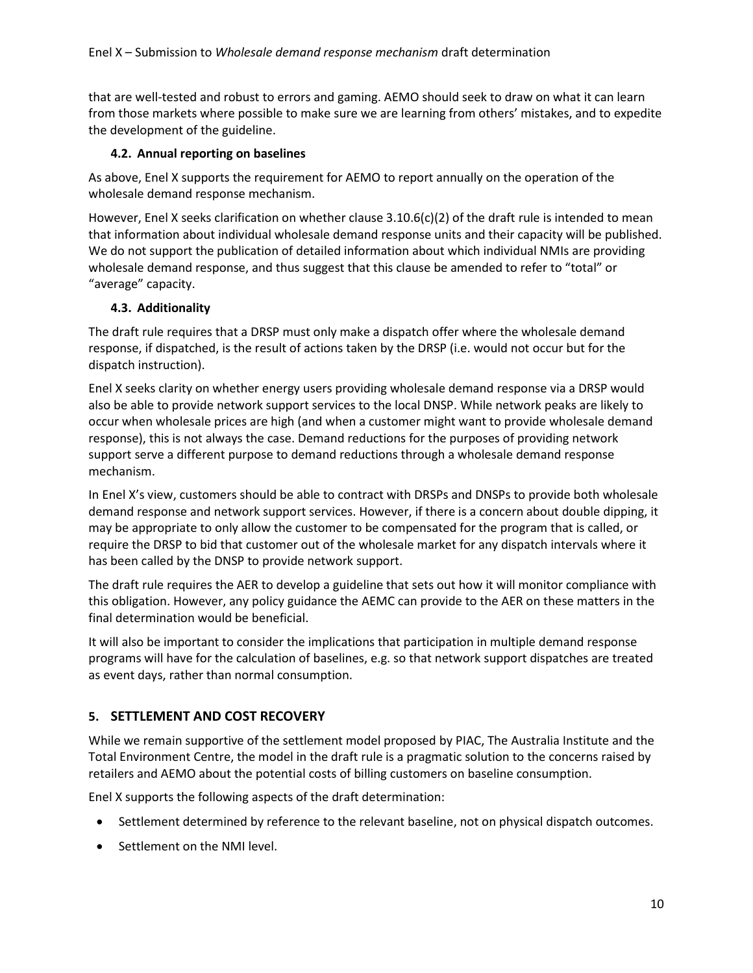that are well-tested and robust to errors and gaming. AEMO should seek to draw on what it can learn from those markets where possible to make sure we are learning from others' mistakes, and to expedite the development of the guideline.

## **4.2. Annual reporting on baselines**

As above, Enel X supports the requirement for AEMO to report annually on the operation of the wholesale demand response mechanism.

However, Enel X seeks clarification on whether clause 3.10.6(c)(2) of the draft rule is intended to mean that information about individual wholesale demand response units and their capacity will be published. We do not support the publication of detailed information about which individual NMIs are providing wholesale demand response, and thus suggest that this clause be amended to refer to "total" or "average" capacity.

## **4.3. Additionality**

The draft rule requires that a DRSP must only make a dispatch offer where the wholesale demand response, if dispatched, is the result of actions taken by the DRSP (i.e. would not occur but for the dispatch instruction).

Enel X seeks clarity on whether energy users providing wholesale demand response via a DRSP would also be able to provide network support services to the local DNSP. While network peaks are likely to occur when wholesale prices are high (and when a customer might want to provide wholesale demand response), this is not always the case. Demand reductions for the purposes of providing network support serve a different purpose to demand reductions through a wholesale demand response mechanism.

In Enel X's view, customers should be able to contract with DRSPs and DNSPs to provide both wholesale demand response and network support services. However, if there is a concern about double dipping, it may be appropriate to only allow the customer to be compensated for the program that is called, or require the DRSP to bid that customer out of the wholesale market for any dispatch intervals where it has been called by the DNSP to provide network support.

The draft rule requires the AER to develop a guideline that sets out how it will monitor compliance with this obligation. However, any policy guidance the AEMC can provide to the AER on these matters in the final determination would be beneficial.

It will also be important to consider the implications that participation in multiple demand response programs will have for the calculation of baselines, e.g. so that network support dispatches are treated as event days, rather than normal consumption.

# **5. SETTLEMENT AND COST RECOVERY**

While we remain supportive of the settlement model proposed by PIAC, The Australia Institute and the Total Environment Centre, the model in the draft rule is a pragmatic solution to the concerns raised by retailers and AEMO about the potential costs of billing customers on baseline consumption.

Enel X supports the following aspects of the draft determination:

- Settlement determined by reference to the relevant baseline, not on physical dispatch outcomes.
- Settlement on the NMI level.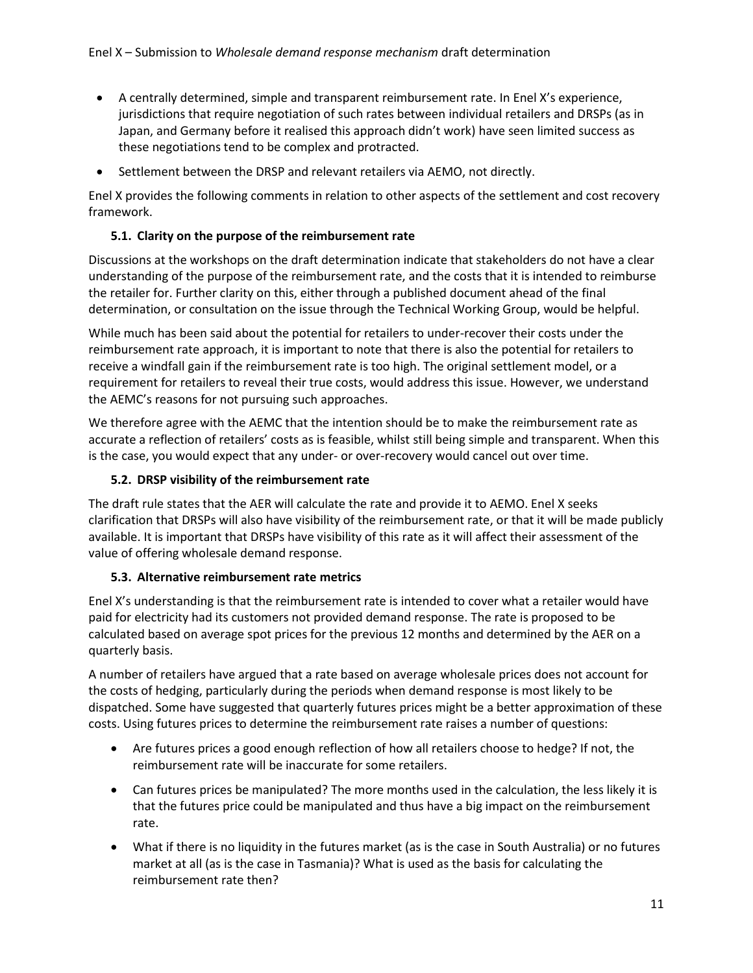- A centrally determined, simple and transparent reimbursement rate. In Enel X's experience, jurisdictions that require negotiation of such rates between individual retailers and DRSPs (as in Japan, and Germany before it realised this approach didn't work) have seen limited success as these negotiations tend to be complex and protracted.
- Settlement between the DRSP and relevant retailers via AEMO, not directly.

Enel X provides the following comments in relation to other aspects of the settlement and cost recovery framework.

# **5.1. Clarity on the purpose of the reimbursement rate**

Discussions at the workshops on the draft determination indicate that stakeholders do not have a clear understanding of the purpose of the reimbursement rate, and the costs that it is intended to reimburse the retailer for. Further clarity on this, either through a published document ahead of the final determination, or consultation on the issue through the Technical Working Group, would be helpful.

While much has been said about the potential for retailers to under-recover their costs under the reimbursement rate approach, it is important to note that there is also the potential for retailers to receive a windfall gain if the reimbursement rate is too high. The original settlement model, or a requirement for retailers to reveal their true costs, would address this issue. However, we understand the AEMC's reasons for not pursuing such approaches.

We therefore agree with the AEMC that the intention should be to make the reimbursement rate as accurate a reflection of retailers' costs as is feasible, whilst still being simple and transparent. When this is the case, you would expect that any under- or over-recovery would cancel out over time.

# **5.2. DRSP visibility of the reimbursement rate**

The draft rule states that the AER will calculate the rate and provide it to AEMO. Enel X seeks clarification that DRSPs will also have visibility of the reimbursement rate, or that it will be made publicly available. It is important that DRSPs have visibility of this rate as it will affect their assessment of the value of offering wholesale demand response.

# **5.3. Alternative reimbursement rate metrics**

Enel X's understanding is that the reimbursement rate is intended to cover what a retailer would have paid for electricity had its customers not provided demand response. The rate is proposed to be calculated based on average spot prices for the previous 12 months and determined by the AER on a quarterly basis.

A number of retailers have argued that a rate based on average wholesale prices does not account for the costs of hedging, particularly during the periods when demand response is most likely to be dispatched. Some have suggested that quarterly futures prices might be a better approximation of these costs. Using futures prices to determine the reimbursement rate raises a number of questions:

- Are futures prices a good enough reflection of how all retailers choose to hedge? If not, the reimbursement rate will be inaccurate for some retailers.
- Can futures prices be manipulated? The more months used in the calculation, the less likely it is that the futures price could be manipulated and thus have a big impact on the reimbursement rate.
- What if there is no liquidity in the futures market (as is the case in South Australia) or no futures market at all (as is the case in Tasmania)? What is used as the basis for calculating the reimbursement rate then?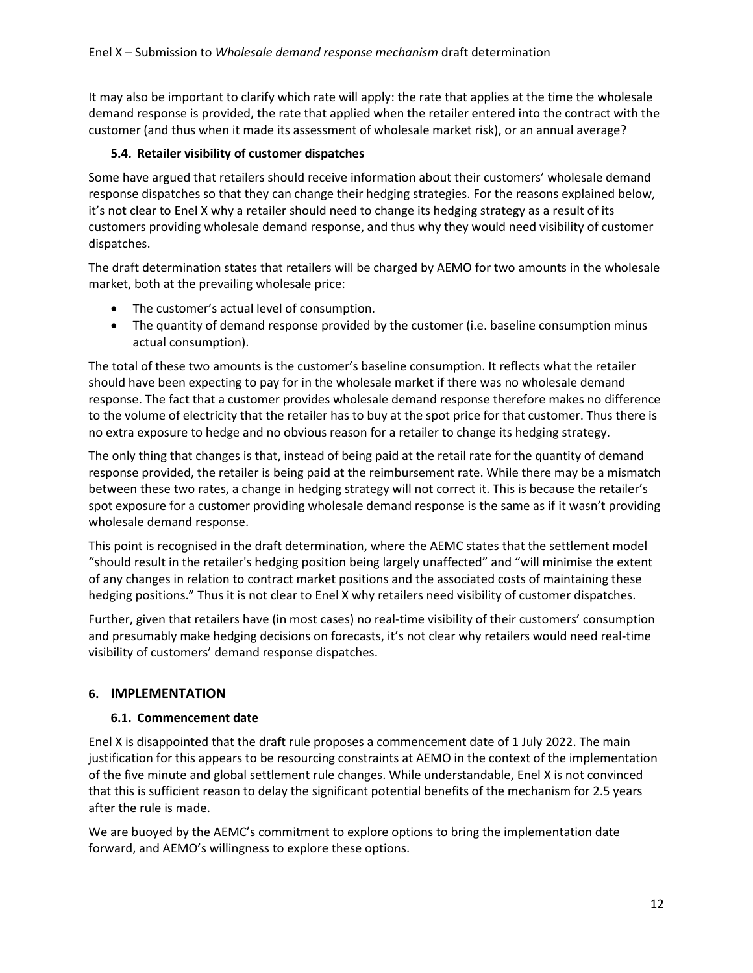It may also be important to clarify which rate will apply: the rate that applies at the time the wholesale demand response is provided, the rate that applied when the retailer entered into the contract with the customer (and thus when it made its assessment of wholesale market risk), or an annual average?

# **5.4. Retailer visibility of customer dispatches**

Some have argued that retailers should receive information about their customers' wholesale demand response dispatches so that they can change their hedging strategies. For the reasons explained below, it's not clear to Enel X why a retailer should need to change its hedging strategy as a result of its customers providing wholesale demand response, and thus why they would need visibility of customer dispatches.

The draft determination states that retailers will be charged by AEMO for two amounts in the wholesale market, both at the prevailing wholesale price:

- The customer's actual level of consumption.
- The quantity of demand response provided by the customer (i.e. baseline consumption minus actual consumption).

The total of these two amounts is the customer's baseline consumption. It reflects what the retailer should have been expecting to pay for in the wholesale market if there was no wholesale demand response. The fact that a customer provides wholesale demand response therefore makes no difference to the volume of electricity that the retailer has to buy at the spot price for that customer. Thus there is no extra exposure to hedge and no obvious reason for a retailer to change its hedging strategy.

The only thing that changes is that, instead of being paid at the retail rate for the quantity of demand response provided, the retailer is being paid at the reimbursement rate. While there may be a mismatch between these two rates, a change in hedging strategy will not correct it. This is because the retailer's spot exposure for a customer providing wholesale demand response is the same as if it wasn't providing wholesale demand response.

This point is recognised in the draft determination, where the AEMC states that the settlement model "should result in the retailer's hedging position being largely unaffected" and "will minimise the extent of any changes in relation to contract market positions and the associated costs of maintaining these hedging positions." Thus it is not clear to Enel X why retailers need visibility of customer dispatches.

Further, given that retailers have (in most cases) no real-time visibility of their customers' consumption and presumably make hedging decisions on forecasts, it's not clear why retailers would need real-time visibility of customers' demand response dispatches.

# **6. IMPLEMENTATION**

# **6.1. Commencement date**

Enel X is disappointed that the draft rule proposes a commencement date of 1 July 2022. The main justification for this appears to be resourcing constraints at AEMO in the context of the implementation of the five minute and global settlement rule changes. While understandable, Enel X is not convinced that this is sufficient reason to delay the significant potential benefits of the mechanism for 2.5 years after the rule is made.

We are buoyed by the AEMC's commitment to explore options to bring the implementation date forward, and AEMO's willingness to explore these options.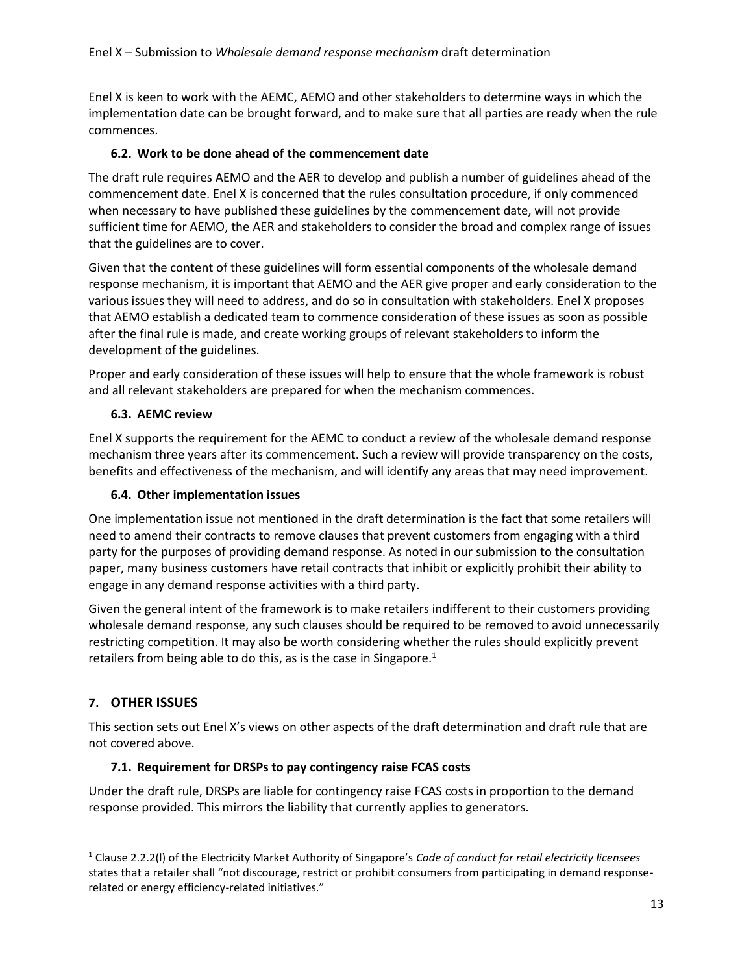Enel X is keen to work with the AEMC, AEMO and other stakeholders to determine ways in which the implementation date can be brought forward, and to make sure that all parties are ready when the rule commences.

# **6.2. Work to be done ahead of the commencement date**

The draft rule requires AEMO and the AER to develop and publish a number of guidelines ahead of the commencement date. Enel X is concerned that the rules consultation procedure, if only commenced when necessary to have published these guidelines by the commencement date, will not provide sufficient time for AEMO, the AER and stakeholders to consider the broad and complex range of issues that the guidelines are to cover.

Given that the content of these guidelines will form essential components of the wholesale demand response mechanism, it is important that AEMO and the AER give proper and early consideration to the various issues they will need to address, and do so in consultation with stakeholders. Enel X proposes that AEMO establish a dedicated team to commence consideration of these issues as soon as possible after the final rule is made, and create working groups of relevant stakeholders to inform the development of the guidelines.

Proper and early consideration of these issues will help to ensure that the whole framework is robust and all relevant stakeholders are prepared for when the mechanism commences.

# **6.3. AEMC review**

Enel X supports the requirement for the AEMC to conduct a review of the wholesale demand response mechanism three years after its commencement. Such a review will provide transparency on the costs, benefits and effectiveness of the mechanism, and will identify any areas that may need improvement.

# **6.4. Other implementation issues**

One implementation issue not mentioned in the draft determination is the fact that some retailers will need to amend their contracts to remove clauses that prevent customers from engaging with a third party for the purposes of providing demand response. As noted in our submission to the consultation paper, many business customers have retail contracts that inhibit or explicitly prohibit their ability to engage in any demand response activities with a third party.

Given the general intent of the framework is to make retailers indifferent to their customers providing wholesale demand response, any such clauses should be required to be removed to avoid unnecessarily restricting competition. It may also be worth considering whether the rules should explicitly prevent retailers from being able to do this, as is the case in Singapore. $1$ 

# **7. OTHER ISSUES**

 $\overline{\phantom{a}}$ 

This section sets out Enel X's views on other aspects of the draft determination and draft rule that are not covered above.

# **7.1. Requirement for DRSPs to pay contingency raise FCAS costs**

Under the draft rule, DRSPs are liable for contingency raise FCAS costs in proportion to the demand response provided. This mirrors the liability that currently applies to generators.

<sup>1</sup> Clause 2.2.2(l) of the Electricity Market Authority of Singapore's *Code of conduct for retail electricity licensees* states that a retailer shall "not discourage, restrict or prohibit consumers from participating in demand responserelated or energy efficiency-related initiatives."